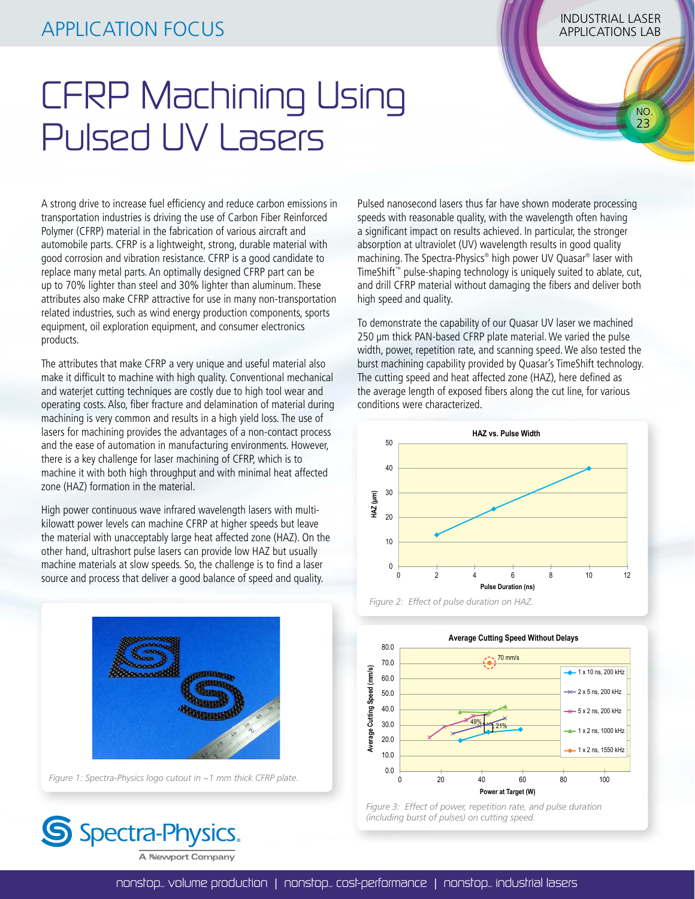## INDUSTRIAL LASER APPLICATION FOCUS APPLICATIONS LAB

 NO. 23

## CFRP Machining Using Pulsed UV Lasers

A strong drive to increase fuel efficiency and reduce carbon emissions in transportation industries is driving the use of Carbon Fiber Reinforced Polymer (CFRP) material in the fabrication of various aircraft and automobile parts. CFRP is a lightweight, strong, durable material with good corrosion and vibration resistance. CFRP is a good candidate to replace many metal parts. An optimally designed CFRP part can be up to 70% lighter than steel and 30% lighter than aluminum. These attributes also make CFRP attractive for use in many non-transportation related industries, such as wind energy production components, sports equipment, oil exploration equipment, and consumer electronics products.

The attributes that make CFRP a very unique and useful material also make it difficult to machine with high quality. Conventional mechanical and waterjet cutting techniques are costly due to high tool wear and operating costs. Also, fiber fracture and delamination of material during machining is very common and results in a high yield loss. The use of lasers for machining provides the advantages of a non-contact process and the ease of automation in manufacturing environments. However, there is a key challenge for laser machining of CFRP, which is to machine it with both high throughput and with minimal heat affected zone (HAZ) formation in the material.

High power continuous wave infrared wavelength lasers with multikilowatt power levels can machine CFRP at higher speeds but leave the material with unacceptably large heat affected zone (HAZ). On the other hand, ultrashort pulse lasers can provide low HAZ but usually machine materials at slow speeds. So, the challenge is to find a laser source and process that deliver a good balance of speed and quality.



*Figure 1: Spectra-Physics logo cutout in ~1 mm thick CFRP plate.*



Pulsed nanosecond lasers thus far have shown moderate processing speeds with reasonable quality, with the wavelength often having a significant impact on results achieved. In particular, the stronger absorption at ultraviolet (UV) wavelength results in good quality machining. The Spectra-Physics® high power UV Quasar® laser with TimeShift™ pulse-shaping technology is uniquely suited to ablate, cut, and drill CFRP material without damaging the fibers and deliver both high speed and quality.

To demonstrate the capability of our Quasar UV laser we machined 250 µm thick PAN-based CFRP plate material. We varied the pulse width, power, repetition rate, and scanning speed. We also tested the burst machining capability provided by Quasar's TimeShift technology. The cutting speed and heat affected zone (HAZ), here defined as the average length of exposed fibers along the cut line, for various conditions were characterized.







*Figure 3: Effect of power, repetition rate, and pulse duration (including burst of pulses) on cutting speed.*